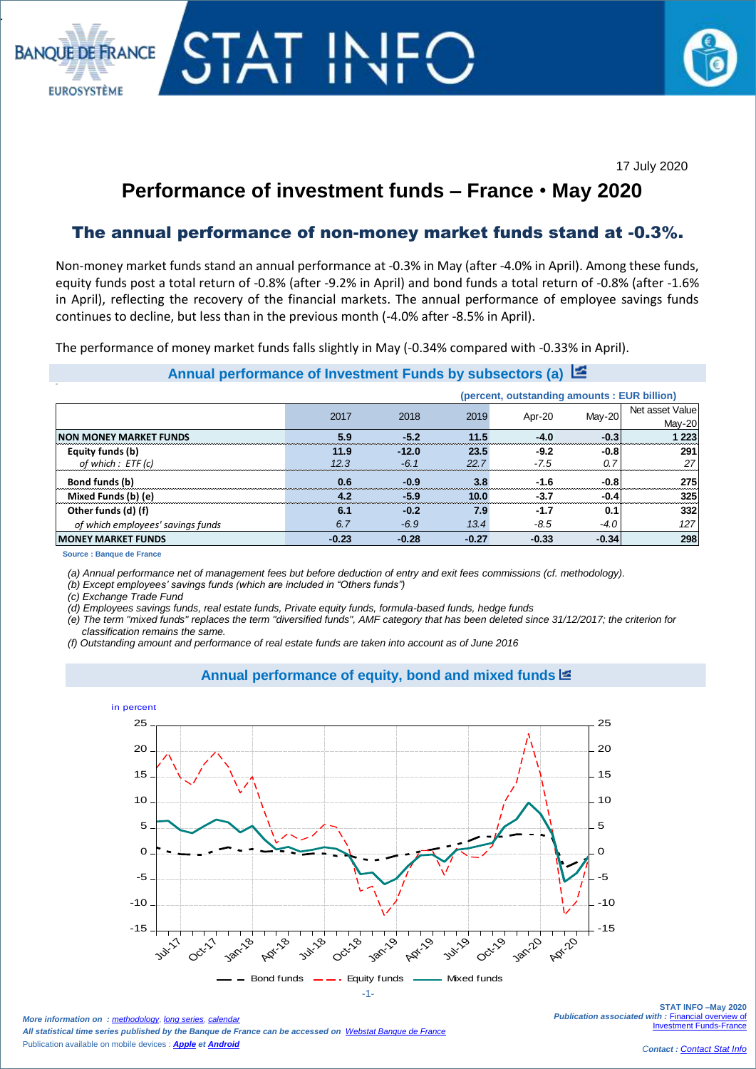#### 17 July 2020

# **Performance of investment funds – France** • **May 2020**

# The annual performance of non-money market funds stand at -0.3%.

Non-money market funds stand an annual performance at -0.3% in May (after -4.0% in April). Among these funds, equity funds post a total return of -0.8% (after -9.2% in April) and bond funds a total return of -0.8% (after -1.6% in April), reflecting the recovery of the financial markets. The annual performance of employee savings funds continues to decline, but less than in the previous month (-4.0% after -8.5% in April).

The performance of money market funds falls slightly in May (-0.34% compared with -0.33% in April).

### **Annual performance of Investment Funds by subsectors (a)**

|                                   | (percent, outstanding amounts : EUR billion) |         |         |         |         |                           |
|-----------------------------------|----------------------------------------------|---------|---------|---------|---------|---------------------------|
|                                   | 2017                                         | 2018    | 2019    | Apr-20  | May-20  | Net asset Value<br>May-20 |
| <b>NON MONEY MARKET FUNDS</b>     | 5.9                                          | $-5.2$  | 11.5    | $-4.0$  | $-0.3$  | 223                       |
| Equity funds (b)                  | 11.9                                         | $-12.0$ | 23.5    | $-9.2$  | $-0.8$  | 291                       |
| of which : ETF (c)                | 12.3                                         | $-6.1$  | 22.7    | $-7.5$  | 0.7     | 27                        |
| Bond funds (b)                    | 0.6                                          | $-0.9$  | 3.8     | $-1.6$  | $-0.8$  | 275                       |
| Mixed Funds (b) (e)               | 4.2                                          | $-5.9$  | 10.0    | $-3.7$  | $-0.4$  | 325                       |
| Other funds (d) (f)               | 6.1                                          | $-0.2$  | 7.9     | $-1.7$  | 0.1     | 332                       |
| of which employees' savings funds | 6.7                                          | $-6.9$  | 13.4    | $-8.5$  | $-4.0$  | 127                       |
| <b>MONEY MARKET FUNDS</b>         | $-0.23$                                      | $-0.28$ | $-0.27$ | $-0.33$ | $-0.34$ | 298                       |

**Source : Banque de France**

.  $\overline{\phantom{a}}$ 

**BANOUE DE FRANCE** 

**EUROSYSTÈME** 

 $\overline{\phantom{a}}$ 

*(a) Annual performance net of management fees but before deduction of entry and exit fees commissions (cf. methodology).*

*(b) Except employees' savings funds (which are included in "Others funds")*

*(c) Exchange Trade Fund* 

*(d) Employees savings funds, real estate funds, Private equity funds, formula-based funds, hedge funds*

*(e) The term "mixed funds" replaces the term "diversified funds", AMF category that has been deleted since 31/12/2017; the criterion for classification remains the same.*

*(f) Outstanding amount and performance of real estate funds are taken into account as of June 2016*

#### **Annual performance of equity, bond and mixed funds**



*More information on : [methodology](https://www.banque-france.fr/en/node/21464), <i>[long series](http://webstat.banque-france.fr/en/browse.do?node=5384218)*, *cal All statistical time series published by the Banque de France can be accessed on [Webstat Banque de France](http://webstat.banque-france.fr/en/)* Publication available on mobile devices : *[Apple](https://itunes.apple.com/fr/app/banquefrance/id663817914?mt=8) e[t Android](https://play.google.com/store/apps/details?id=fr.bdf.mobile&feature=search_result#?t=W251bGwsMSwyLDEsImZyLmJkZi5tb2JpbGUiXQ)*

**STAT INFO –May 2020** *Publication associated with :* [Financial overview of](https://www.banque-france.fr/en/node/4206)  [Investment Funds-France](https://www.banque-france.fr/en/node/4206)